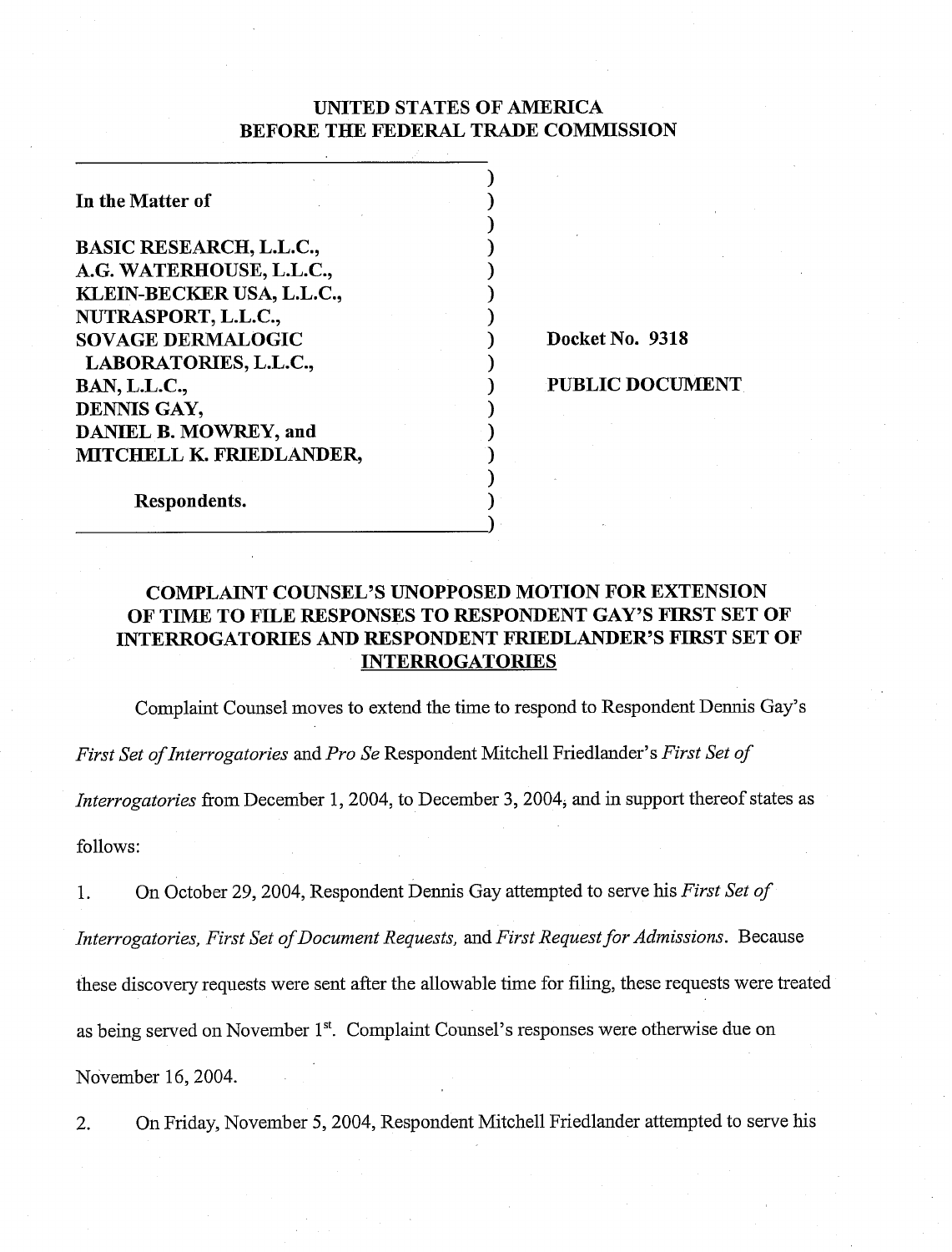## UNITED STATES OF AMERICA BEFORE THE FEDERAL TRADE COMMISSION

 $\mathbf{)}$  $\mathbf{)}$  $\mathbf{)}$  $\mathbf{)}$  $)$  $\mathbf{)}$  $)$ 

 $)$ 

 $\mathbf{)}$  $)$ **1**   $\mathbf{)}$ 

 $\mathbf{)}$ 

In the Matter of

BASIC RESEARCH, L.L.C., A.G. WATERHOUSE, L.L.C., KLEIN-BECKER USA, L.L.C., NUTRASPORT, L.L.C., SOVAGE DERMALOGIC LABORATORIES, L.L.C., BAN, L.L.C., DENNIS GAY, DANIEL B. MOWREY, and MITCHELL K. FRIEDLANDER,

Docket No. 9318

1 PUBLIC DOCUMENT

Respondents.

# COMPLAINT COUNSEL'S UNOPPOSED MOTION FOR EXTENSION OF TIME TO FILE RESPONSES TO RESPONDENT GAY'S FIRST SET OF INTERROGATORIES AND RESPONDENT FRIEDLANDER'S FIRST SET OF INTERROGATORIES

Complaint Counsel moves to extend the time to respond to Respondent Dennis Gay's

*First Set ofInterrogntories* and *Pro Se* Respondent Mitchell Friedlander's *First Set of* 

*Interrogatories* from December 1, 2004, to December 3, 2004, and in support thereof states as follows:

1. On October 29,2004, Respondent Dennis Gay attempted to serve his *First Set of Interrogatories, First Set of Document Requests, and First Request for Admissions.* Because these discovery requests were sent after the allowable time for filing, these requests were treated as being served on November 1". Complaint Counsel's responses were otherwise due on November 16,2004.

2. On Friday, November 5,2004, Respondent Mitchell Friedlander attempted to serve his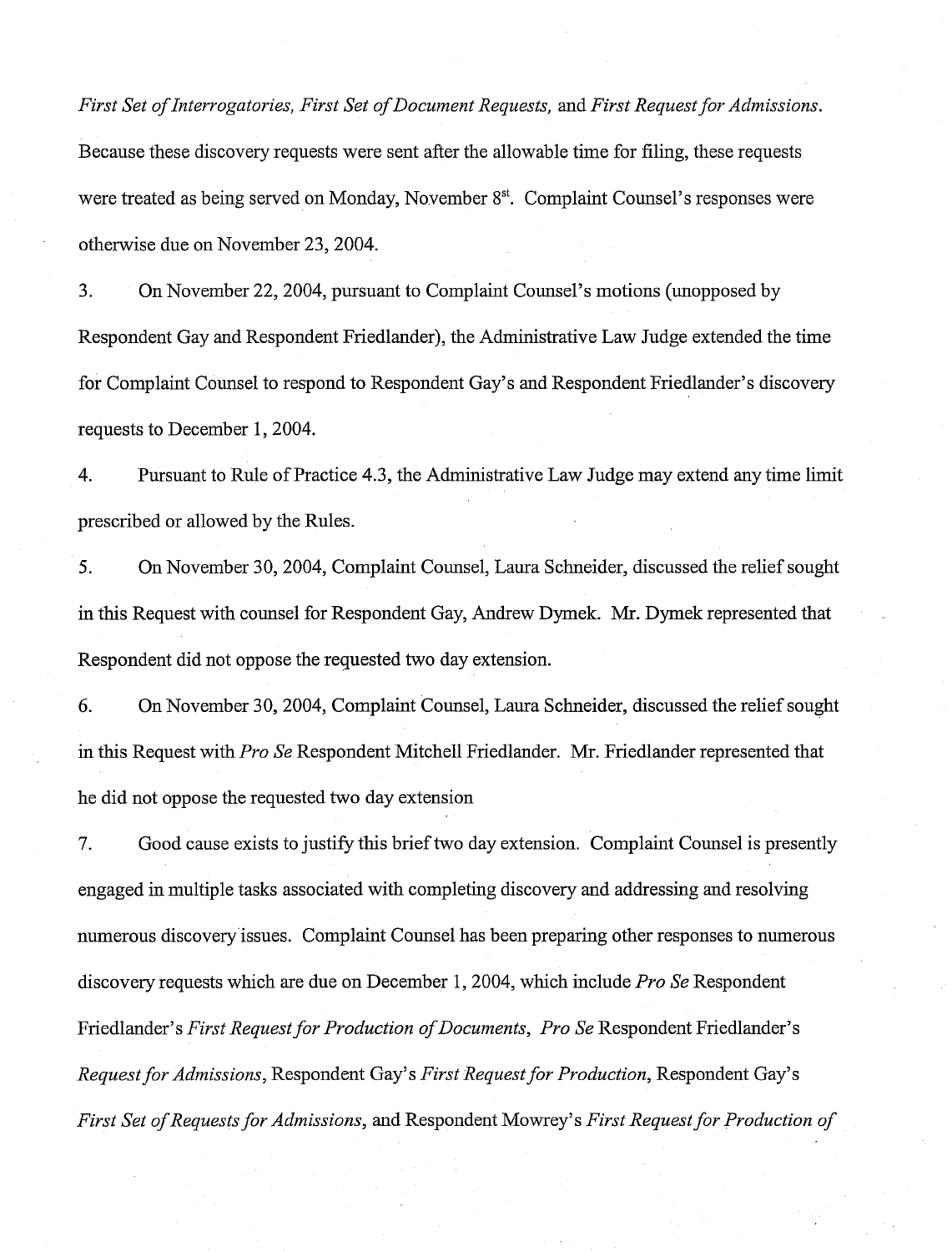*First Set of Interrogatories, First Set of Document Requests, and First Request for Admissions.* Because these discovery requests were sent after the allowable time for filing, these requests were treated as being served on Monday, November 8<sup>st</sup>. Complaint Counsel's responses were otherwise due on November 23,2004.

3. On November 22,2004, pursuant to Complaint Counsel's motions (unopposed by Respondent Gay and Respondent Friedlander), the Administrative Law Judge extended the time for Complaint Counsel to respond to Respondent Gay's and Respondent Friedlander's discovery requests to December 1,2004.

4. Pursuant to Rule of Practice 4.3, the Administrative Law Judge may extend any time limit prescribed or allowed by the Rules.

5. On November 30, 2004, Complaint Counsel, Laura Schneider, discussed the relief sought in this Request with counsel for Respondent Gay, Andrew Dymek. Mr. Dymek represented that Respondent did not oppose the requested two day extension.

6. On November 30,2004, Complaint Counsel, Laura Schneider, discussed the relief sought in this Request with *Pro Se* Respondent Mitchell Friedlander. Mr. Friedlander represented that he did not oppose the requested two day extension

7. Good cause exists to justify this brief two day extension. Complaint Counsel is presently engaged in multiple tasks associated with completing discovery and addressing and resolving numerous discovery issues. Complaint Counsel has been preparing other responses to numerous discovery requests which are due on December 1,2004, which include *Pro Se* Respondent Friedlander's *First Request for Production of Documents, Pro Se* Respondent Friedlander's *Request for Admissions, Respondent Gay's <i>First Request for Production, Respondent Gay's First Set of Requests for Admissions,* and Respondent Mowrey's *First Request for Production of*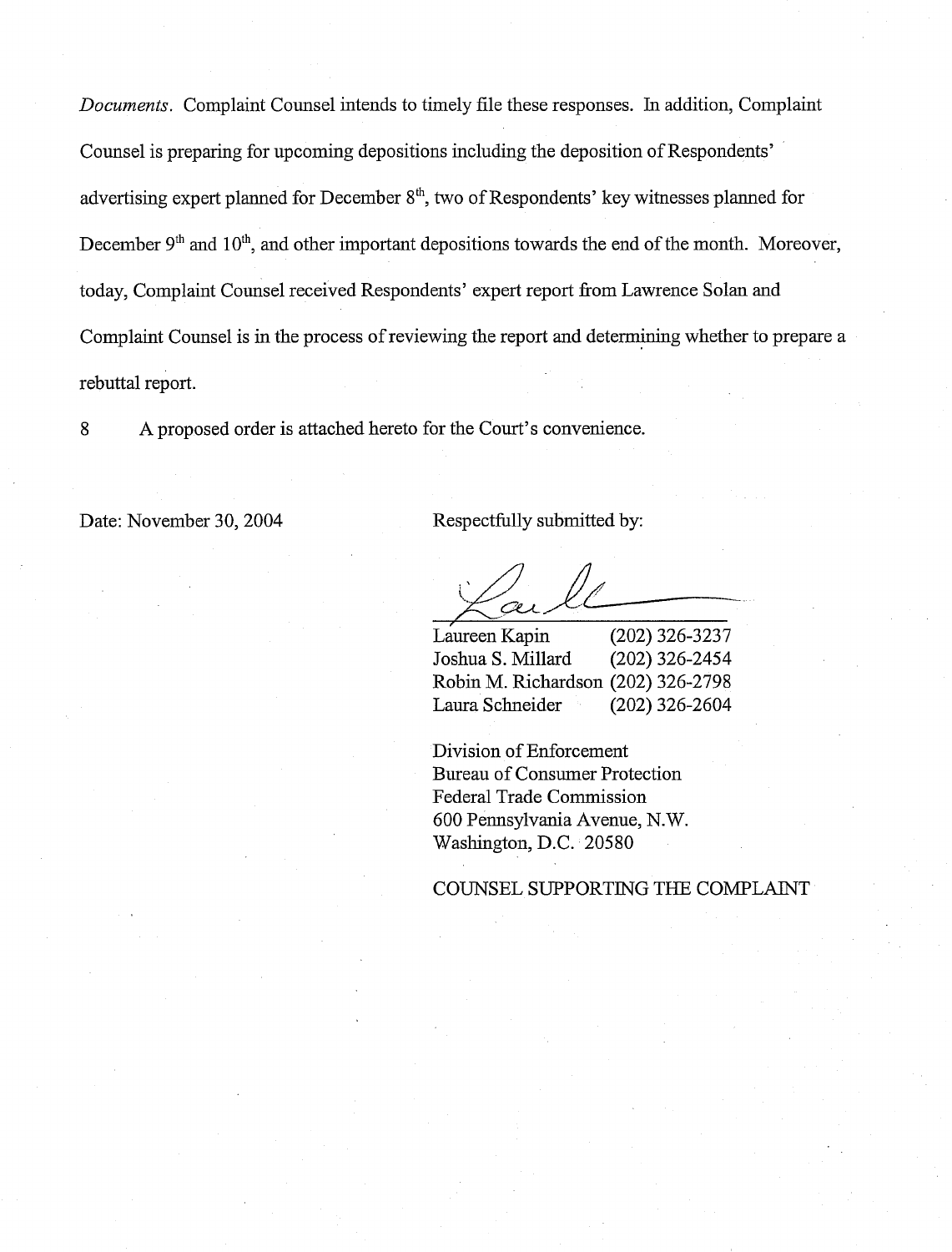*Documents.* Complaint Counsel intends to timely file these responses. In addition, Complaint Counsel is preparing for upcoming depositions including the deposition of Respondents' advertising expert planned for December  $8<sup>th</sup>$ , two of Respondents' key witnesses planned for December  $9<sup>th</sup>$  and  $10<sup>th</sup>$ , and other important depositions towards the end of the month. Moreover, today, Complaint Counsel received Respondents' expert report from Lawrence Solan and Complaint Counsel is in the process of reviewing the report and determining whether to prepare a rebuttal report.

8 A proposed order is attached hereto for the Court's convenience.

Date: November 30, 2004 Respectfully submitted by:

Laureen Kapin (202) 326-3237 Joshua S. Millard (202) 326-2454 Robin M. Richardson (202) 326-2798 Laura Schneider (202) 326-2604

Division of Enforcement Bureau of Consumer Protection Federal Trade Commission 600 Pennsylvania Avenue, N.W. Washington, D.C. 20580

COUNSEL SUPPORTING THE COMPLAINT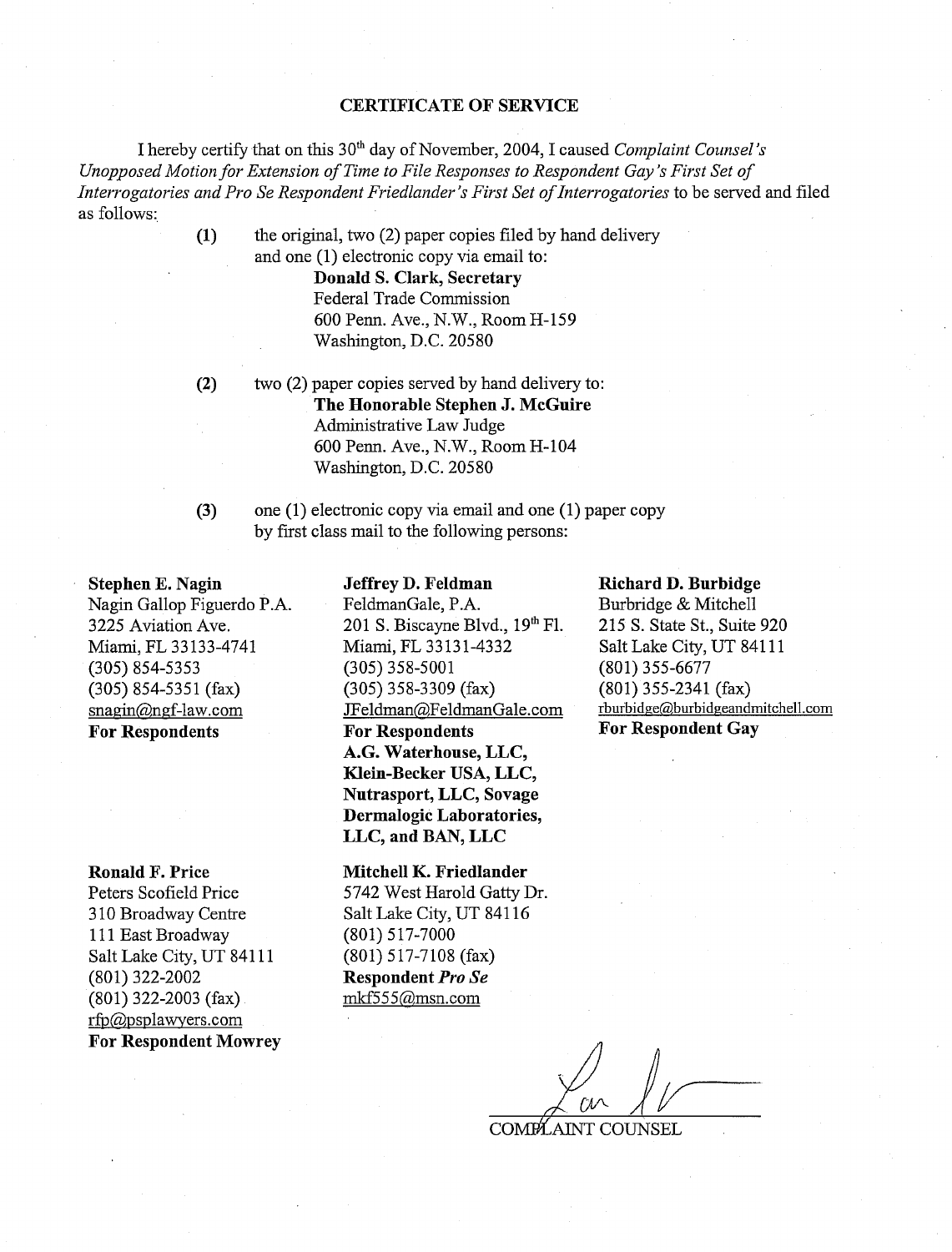### **CERTIFICATE OF SERVICE**

I hereby certify that on this 30<sup>th</sup> day of November, 2004, I caused *Complaint Counsel's Unopposed Motion for Extension of Time to File Responses to Respondent Gay's First Set of Interrogatories and Pro Se Respondent Friedlander's First Set of Interrogatories* to be served and filed as follows:

> **(1)** the original, two (2) paper copies filed by hand delivery and one (1) electronic copy via email to:

> > **Donald S. Clark, Secretary**  Federal Trade Commission 600 Penn. Ave., N.W., Room H-159 Washington, D.C. 205 80

 $(2)$ 

two (2) paper copies served by hand delivery to: **The Honorable Stephen J. McGuire**  Administrative Law Judge 600 Penn. Ave., N.W., Room H-104 Washington, D.C. 205 80

one (1) electronic copy via email and one (1) paper copy

 $(3)$ 

**Stephen E. Nagin**  Nagin Gallop Figuerdo P.A. 3225 Aviation Ave. Miami, FL 33 133-4741 (305) 854-5353 (305) 854-5351 (fax) snagin@ngf-law.com **For Respondents** 

**Ronald F. Price** 

Peters Scofield Price 3 10 Broadway Centre 111 East Broadway Salt Lake City, UT 841 11 (801) 322-2002 (801) 322-2003 (fax) rfp@psplawyers.com **For Respondent Mowrey**  **Jeffrey D. Feldman** 

by first class mail to the following persons:

FeldmanGale, P.A. 201 S. Biscayne Blvd.,  $19<sup>th</sup>$  Fl. Miami, FL 33131-4332 (305) 358-5001 (305) 358-3309 (fax) JFeldman@FeldmanGale.com **For Respondents A.G. Waterhouse, LLC, Klein-Becker USA, LLC, Nutrasport, LLC, Sovage Dermalogic Laboratories, LLC, and BAN, LLC** 

**Mitchell K. Friedlander**  5742 West Harold Gatty Dr. Salt Lake City, UT 841 16 (801) 5 17-7000 (801) 517-7108 (fax) **Respondent** *Pro* Se mkf555@msn.com

#### **Richard D. Burbidge**

Burbridge & Mitchell 215 S. State St., Suite 920 Salt Lake City, UT 841 11 (801) 355-6677 (801) 355-2341 (fax) rburbidge@,burbidgeandmitchell.com **For Respondent Gay** 

COMPLAINT COUNSEL